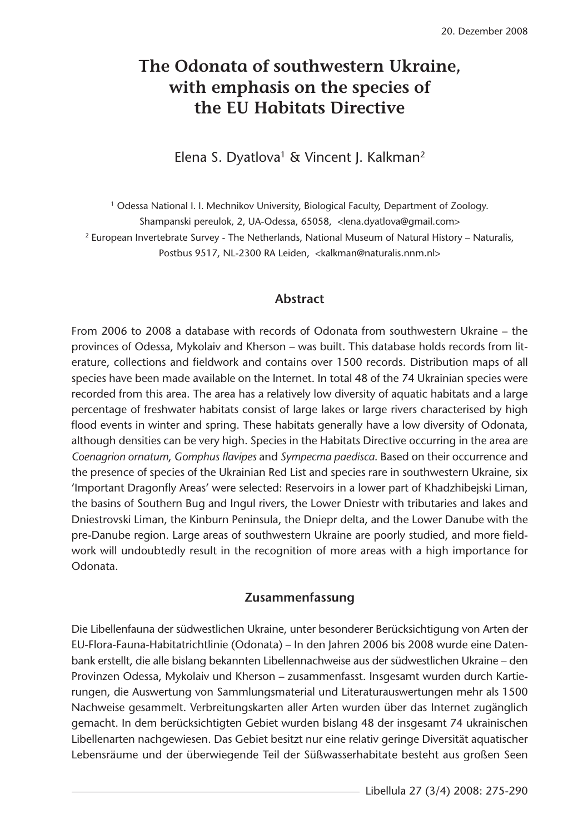# **The Odonata of southwestern Ukraine, with emphasis on the species of the EU Habitats Directive**

Elena S. Dyatlova<sup>1</sup> & Vincent J. Kalkman<sup>2</sup>

<sup>1</sup> Odessa National I. I. Mechnikov University, Biological Faculty, Department of Zoology. Shampanski pereulok, 2, UA-Odessa, 65058, <lena.dyatlova@gmail.com> <sup>2</sup> European Invertebrate Survey - The Netherlands, National Museum of Natural History – Naturalis, Postbus 9517, NL-2300 RA Leiden, <kalkman@naturalis.nnm.nl>

#### **Abstract**

From 2006 to 2008 a database with records of Odonata from southwestern Ukraine – the provinces of Odessa, Mykolaiv and Kherson – was built. This database holds records from literature, collections and fieldwork and contains over 1500 records. Distribution maps of all species have been made available on the Internet. In total 48 of the 74 Ukrainian species were recorded from this area. The area has a relatively low diversity of aquatic habitats and a large percentage of freshwater habitats consist of large lakes or large rivers characterised by high flood events in winter and spring. These habitats generally have a low diversity of Odonata, although densities can be very high. Species in the Habitats Directive occurring in the area are *Coenagrion ornatum*, *Gomphus flavipes* and *Sympecma paedisca*. Based on their occurrence and the presence of species of the Ukrainian Red List and species rare in southwestern Ukraine, six 'Important Dragonfly Areas' were selected: Reservoirs in a lower part of Khadzhibejski Liman, the basins of Southern Bug and Ingul rivers, the Lower Dniestr with tributaries and lakes and Dniestrovski Liman, the Kinburn Peninsula, the Dniepr delta, and the Lower Danube with the pre-Danube region. Large areas of southwestern Ukraine are poorly studied, and more fieldwork will undoubtedly result in the recognition of more areas with a high importance for Odonata.

#### **Zusammenfassung**

Die Libellenfauna der südwestlichen Ukraine, unter besonderer Berücksichtigung von Arten der EU-Flora-Fauna-Habitatrichtlinie (Odonata) – In den Jahren 2006 bis 2008 wurde eine Datenbank erstellt, die alle bislang bekannten Libellennachweise aus der südwestlichen Ukraine – den Provinzen Odessa, Mykolaiv und Kherson – zusammenfasst. Insgesamt wurden durch Kartierungen, die Auswertung von Sammlungsmaterial und Literaturauswertungen mehr als 1500 Nachweise gesammelt. Verbreitungskarten aller Arten wurden über das Internet zugänglich gemacht. In dem berücksichtigten Gebiet wurden bislang 48 der insgesamt 74 ukrainischen Libellenarten nachgewiesen. Das Gebiet besitzt nur eine relativ geringe Diversität aquatischer Lebensräume und der überwiegende Teil der Süßwasserhabitate besteht aus großen Seen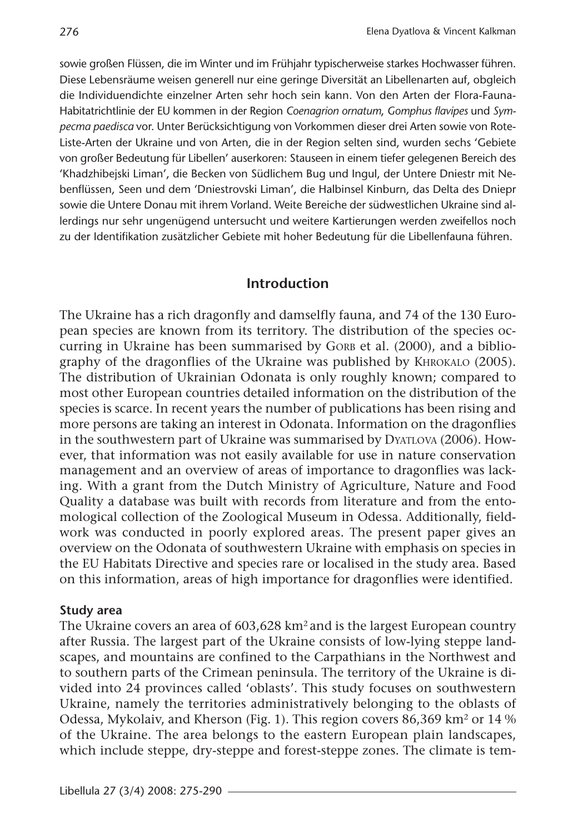sowie großen Flüssen, die im Winter und im Frühjahr typischerweise starkes Hochwasser führen. Diese Lebensräume weisen generell nur eine geringe Diversität an Libellenarten auf, obgleich die Individuendichte einzelner Arten sehr hoch sein kann. Von den Arten der Flora-Fauna-Habitatrichtlinie der EU kommen in der Region *Coenagrion ornatum*, *Gomphus flavipes* und *Sympecma paedisca* vor. Unter Berücksichtigung von Vorkommen dieser drei Arten sowie von Rote-Liste-Arten der Ukraine und von Arten, die in der Region selten sind, wurden sechs 'Gebiete von großer Bedeutung für Libellen' auserkoren: Stauseen in einem tiefer gelegenen Bereich des 'Khadzhibejski Liman', die Becken von Südlichem Bug und Ingul, der Untere Dniestr mit Nebenflüssen, Seen und dem 'Dniestrovski Liman', die Halbinsel Kinburn, das Delta des Dniepr sowie die Untere Donau mit ihrem Vorland. Weite Bereiche der südwestlichen Ukraine sind allerdings nur sehr ungenügend untersucht und weitere Kartierungen werden zweifellos noch zu der Identifikation zusätzlicher Gebiete mit hoher Bedeutung für die Libellenfauna führen.

### **Introduction**

The Ukraine has a rich dragonfly and damselfly fauna, and 74 of the 130 European species are known from its territory. The distribution of the species occurring in Ukraine has been summarised by GORB et al. (2000), and a bibliography of the dragonflies of the Ukraine was published by KHROKALO (2005). The distribution of Ukrainian Odonata is only roughly known; compared to most other European countries detailed information on the distribution of the species is scarce. In recent years the number of publications has been rising and more persons are taking an interest in Odonata. Information on the dragonflies in the southwestern part of Ukraine was summarised by DYATLOVA (2006). However, that information was not easily available for use in nature conservation management and an overview of areas of importance to dragonflies was lacking. With a grant from the Dutch Ministry of Agriculture, Nature and Food Quality a database was built with records from literature and from the entomological collection of the Zoological Museum in Odessa. Additionally, fieldwork was conducted in poorly explored areas. The present paper gives an overview on the Odonata of southwestern Ukraine with emphasis on species in the EU Habitats Directive and species rare or localised in the study area. Based on this information, areas of high importance for dragonflies were identified.

### **Study area**

The Ukraine covers an area of 603,628 km<sup>2</sup> and is the largest European country after Russia. The largest part of the Ukraine consists of low-lying steppe landscapes, and mountains are confined to the Carpathians in the Northwest and to southern parts of the Crimean peninsula. The territory of the Ukraine is divided into 24 provinces called 'oblasts'. This study focuses on southwestern Ukraine, namely the territories administratively belonging to the oblasts of Odessa, Mykolaiv, and Kherson (Fig. 1). This region covers 86,369 km<sup>2</sup> or 14 % of the Ukraine. The area belongs to the eastern European plain landscapes, which include steppe, dry-steppe and forest-steppe zones. The climate is tem-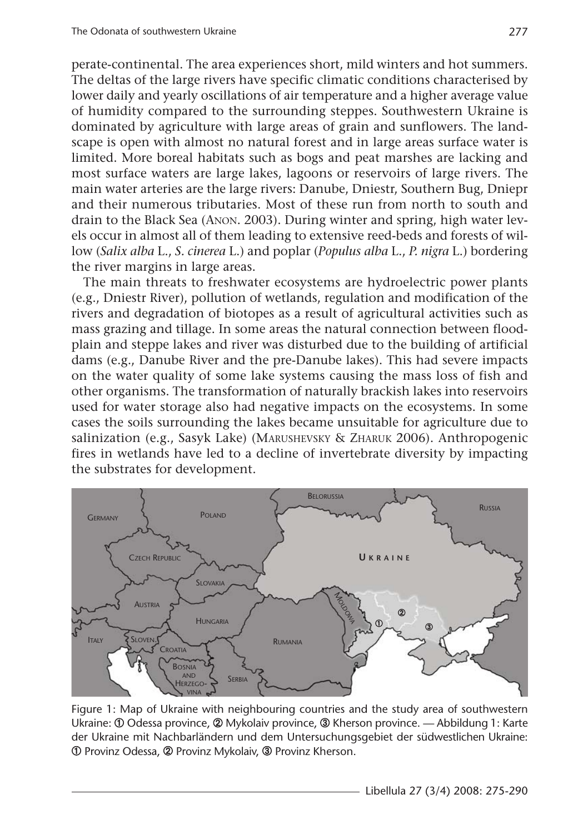perate-continental. The area experiences short, mild winters and hot summers. The deltas of the large rivers have specific climatic conditions characterised by lower daily and yearly oscillations of air temperature and a higher average value of humidity compared to the surrounding steppes. Southwestern Ukraine is dominated by agriculture with large areas of grain and sunflowers. The landscape is open with almost no natural forest and in large areas surface water is limited. More boreal habitats such as bogs and peat marshes are lacking and most surface waters are large lakes, lagoons or reservoirs of large rivers. The main water arteries are the large rivers: Danube, Dniestr, Southern Bug, Dniepr and their numerous tributaries. Most of these run from north to south and drain to the Black Sea (ANON. 2003). During winter and spring, high water levels occur in almost all of them leading to extensive reed-beds and forests of willow (*Salix alba* L., *S. cinerea* L.) and poplar (*Populus alba* L., *P. nigra* L.) bordering the river margins in large areas.

The main threats to freshwater ecosystems are hydroelectric power plants (e.g., Dniestr River), pollution of wetlands, regulation and modification of the rivers and degradation of biotopes as a result of agricultural activities such as mass grazing and tillage. In some areas the natural connection between floodplain and steppe lakes and river was disturbed due to the building of artificial dams (e.g., Danube River and the pre-Danube lakes). This had severe impacts on the water quality of some lake systems causing the mass loss of fish and other organisms. The transformation of naturally brackish lakes into reservoirs used for water storage also had negative impacts on the ecosystems. In some cases the soils surrounding the lakes became unsuitable for agriculture due to salinization (e.g., Sasyk Lake) (MARUSHEVSKY & ZHARUK 2006). Anthropogenic fires in wetlands have led to a decline of invertebrate diversity by impacting the substrates for development.



Figure 1: Map of Ukraine with neighbouring countries and the study area of southwestern Ukraine: ➀ Odessa province, ➁ Mykolaiv province, ➂ Kherson province. — Abbildung 1: Karte der Ukraine mit Nachbarländern und dem Untersuchungsgebiet der südwestlichen Ukraine: ➀ Provinz Odessa, ➁ Provinz Mykolaiv, ➂ Provinz Kherson.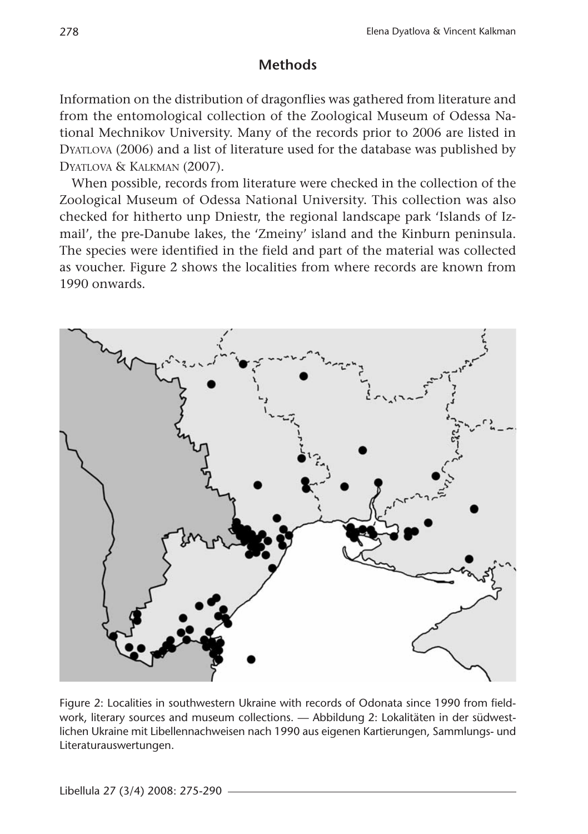### **Methods**

Information on the distribution of dragonflies was gathered from literature and from the entomological collection of the Zoological Museum of Odessa National Mechnikov University. Many of the records prior to 2006 are listed in DYATLOVA (2006) and a list of literature used for the database was published by DYATLOVA & KALKMAN (2007).

When possible, records from literature were checked in the collection of the Zoological Museum of Odessa National University. This collection was also checked for hitherto unp Dniestr, the regional landscape park 'Islands of Izmail', the pre-Danube lakes, the 'Zmeiny' island and the Kinburn peninsula. The species were identified in the field and part of the material was collected as voucher. Figure 2 shows the localities from where records are known from 1990 onwards.



Figure 2: Localities in southwestern Ukraine with records of Odonata since 1990 from fieldwork, literary sources and museum collections. — Abbildung 2: Lokalitäten in der südwestlichen Ukraine mit Libellennachweisen nach 1990 aus eigenen Kartierungen, Sammlungs- und Literaturauswertungen.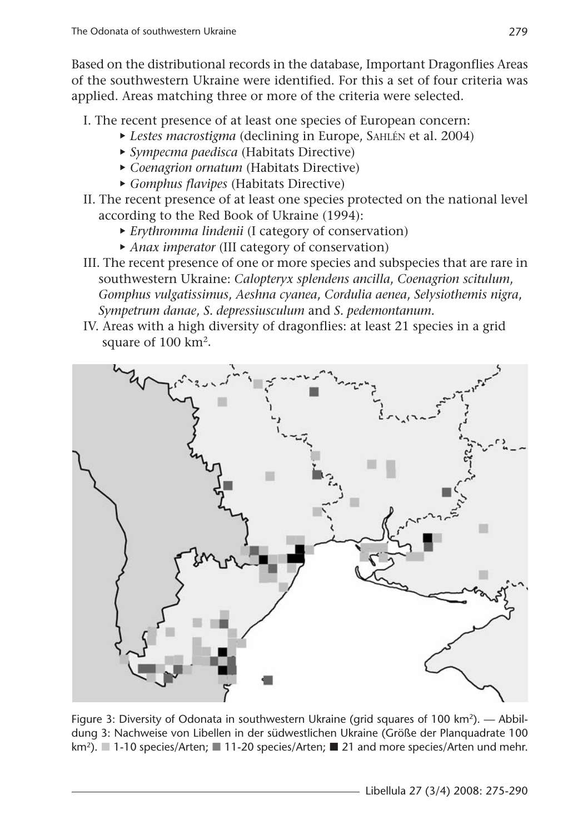Based on the distributional records in the database, Important Dragonflies Areas of the southwestern Ukraine were identified. For this a set of four criteria was applied. Areas matching three or more of the criteria were selected.

- I. The recent presence of at least one species of European concern:
	- £ *Lestes macrostigma* (declining in Europe, SAHLÉN et al. 2004)
	- £ *Sympecma paedisca* (Habitats Directive)
	- £ *Coenagrion ornatum* (Habitats Directive)
	- £ *Gomphus flavipes* (Habitats Directive)
- II. The recent presence of at least one species protected on the national level according to the Red Book of Ukraine (1994):
	- £ *Erythromma lindenii* (I category of conservation)
	- £ *Anax imperator* (III category of conservation)
- III. The recent presence of one or more species and subspecies that are rare in southwestern Ukraine: *Calopteryx splendens ancilla*, *Coenagrion scitulum*, *Gomphus vulgatissimus*, *Aeshna cyanea*, *Cordulia aenea*, *Selysiothemis nigra*, *Sympetrum danae*, *S. depressiusculum* and *S. pedemontanum.*
- IV. Areas with a high diversity of dragonflies: at least 21 species in a grid square of 100 km2.



Figure 3: Diversity of Odonata in southwestern Ukraine (grid squares of 100 km<sup>2</sup>). — Abbildung 3: Nachweise von Libellen in der südwestlichen Ukraine (Größe der Planquadrate 100 km<sup>2</sup>). 1-10 species/Arten; 11-20 species/Arten; 21 and more species/Arten und mehr.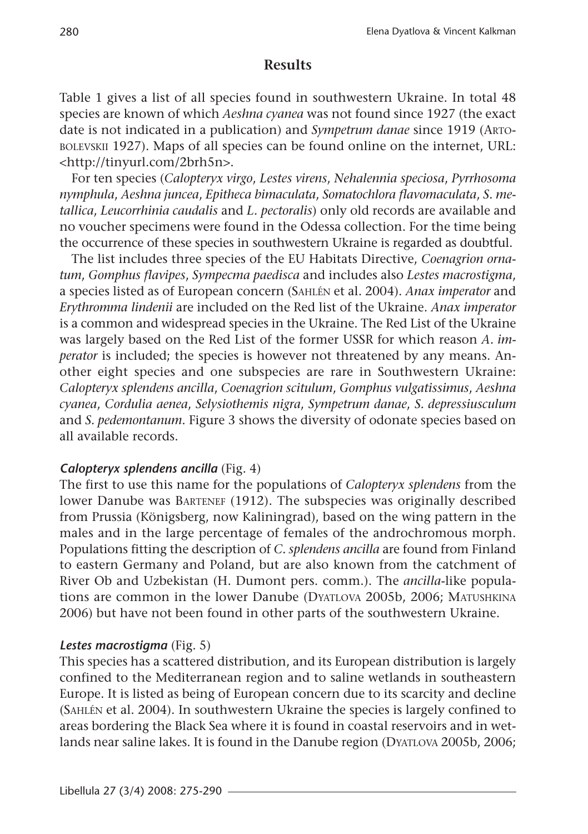### **Results**

Table 1 gives a list of all species found in southwestern Ukraine. In total 48 species are known of which *Aeshna cyanea* was not found since 1927 (the exact date is not indicated in a publication) and *Sympetrum danae* since 1919 (ARTO-BOLEVSKII 1927). Maps of all species can be found online on the internet, URL: <http://tinyurl.com/2brh5n>.

For ten species (*Calopteryx virgo*, *Lestes virens*, *Nehalennia speciosa*, *Pyrrhosoma nymphula*, *Aeshna juncea*, *Epitheca bimaculata*, *Somatochlora flavomaculata*, *S. metallica*, *Leucorrhinia caudalis* and *L. pectoralis*) only old records are available and no voucher specimens were found in the Odessa collection. For the time being the occurrence of these species in southwestern Ukraine is regarded as doubtful.

The list includes three species of the EU Habitats Directive, *Coenagrion ornatum*, *Gomphus flavipes*, *Sympecma paedisca* and includes also *Lestes macrostigma*, a species listed as of European concern (SAHLÉN et al. 2004). *Anax imperator* and *Erythromma lindenii* are included on the Red list of the Ukraine. *Anax imperator* is a common and widespread species in the Ukraine. The Red List of the Ukraine was largely based on the Red List of the former USSR for which reason *A. imperator* is included; the species is however not threatened by any means. Another eight species and one subspecies are rare in Southwestern Ukraine: *Calopteryx splendens ancilla*, *Coenagrion scitulum*, *Gomphus vulgatissimus*, *Aeshna cyanea*, *Cordulia aenea*, *Selysiothemis nigra*, *Sympetrum danae*, *S. depressiusculum* and *S. pedemontanum*. Figure 3 shows the diversity of odonate species based on all available records.

### *Calopteryx splendens ancilla* (Fig. 4)

The first to use this name for the populations of *Calopteryx splendens* from the lower Danube was BARTENEF (1912). The subspecies was originally described from Prussia (Königsberg, now Kaliningrad), based on the wing pattern in the males and in the large percentage of females of the androchromous morph. Populations fitting the description of *C. splendens ancilla* are found from Finland to eastern Germany and Poland, but are also known from the catchment of River Ob and Uzbekistan (H. Dumont pers. comm.). The *ancilla*-like populations are common in the lower Danube (DYATLOVA 2005b, 2006; MATUSHKINA 2006) but have not been found in other parts of the southwestern Ukraine.

### *Lestes macrostigma* (Fig. 5)

This species has a scattered distribution, and its European distribution is largely confined to the Mediterranean region and to saline wetlands in southeastern Europe. It is listed as being of European concern due to its scarcity and decline (SAHLÉN et al. 2004). In southwestern Ukraine the species is largely confined to areas bordering the Black Sea where it is found in coastal reservoirs and in wetlands near saline lakes. It is found in the Danube region (DYATLOVA 2005b, 2006;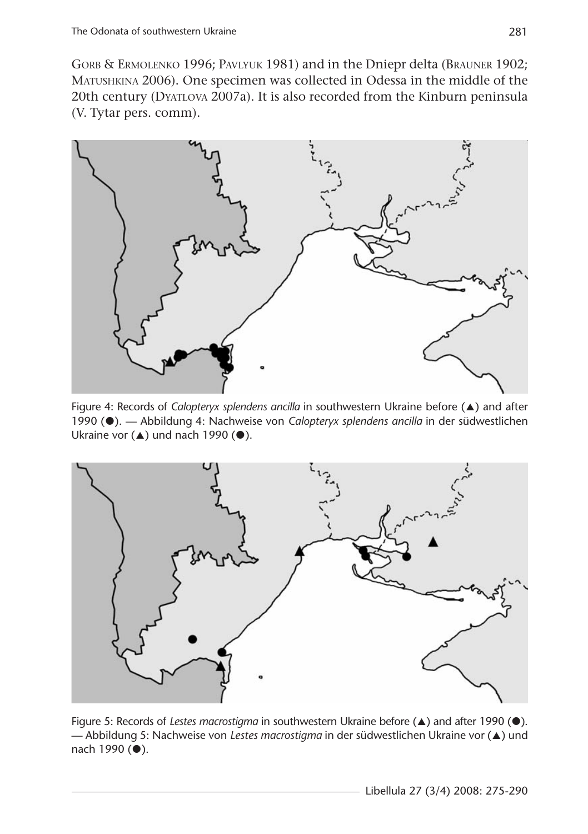GORB & ERMOLENKO 1996; PAVLYUK 1981) and in the Dniepr delta (BRAUNER 1902; MATUSHKINA 2006). One specimen was collected in Odessa in the middle of the 20th century (DYATLOVA 2007a). It is also recorded from the Kinburn peninsula (V. Tytar pers. comm).



Figure 4: Records of *Calopteryx splendens ancilla* in southwestern Ukraine before (A) and after 1990 ( $\bullet$ ). — Abbildung 4: Nachweise von *Calopteryx splendens ancilla* in der südwestlichen Ukraine vor  $($ **A** $)$  und nach 1990 ( $\bullet$ ).



Figure 5: Records of *Lestes macrostigma* in southwestern Ukraine before ( $\triangle$ ) and after 1990 (<sup> $\bullet$ </sup>). — Abbildung 5: Nachweise von *Lestes macrostigma* in der südwestlichen Ukraine vor (@) und  $nach 1990 (•).$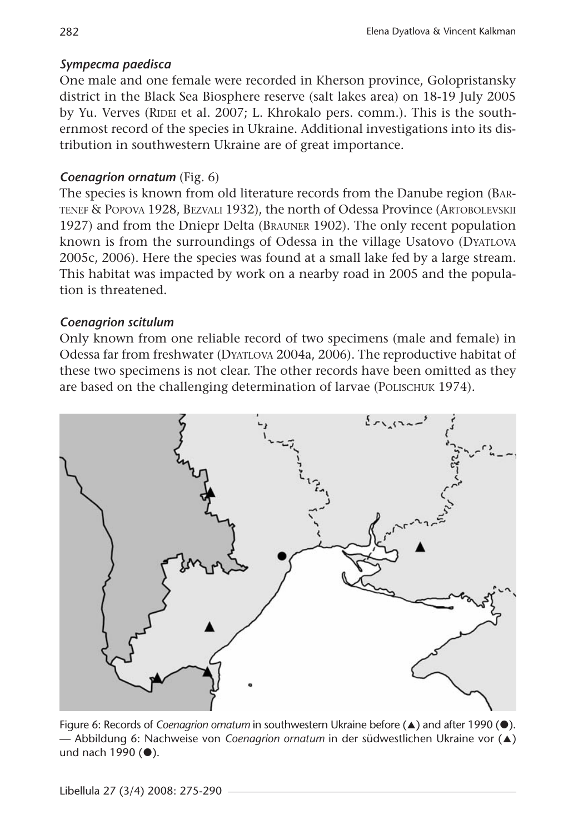## *Sympecma paedisca*

One male and one female were recorded in Kherson province, Golopristansky district in the Black Sea Biosphere reserve (salt lakes area) on 18-19 July 2005 by Yu. Verves (RIDEI et al. 2007; L. Khrokalo pers. comm.). This is the southernmost record of the species in Ukraine. Additional investigations into its distribution in southwestern Ukraine are of great importance.

## *Coenagrion ornatum* (Fig. 6)

The species is known from old literature records from the Danube region (BAR-TENEF & POPOVA 1928, BEZVALI 1932), the north of Odessa Province (ARTOBOLEVSKII 1927) and from the Dniepr Delta (BRAUNER 1902). The only recent population known is from the surroundings of Odessa in the village Usatovo (DYATLOVA 2005c, 2006). Here the species was found at a small lake fed by a large stream. This habitat was impacted by work on a nearby road in 2005 and the population is threatened.

### *Coenagrion scitulum*

Only known from one reliable record of two specimens (male and female) in Odessa far from freshwater (DYATLOVA 2004a, 2006). The reproductive habitat of these two specimens is not clear. The other records have been omitted as they are based on the challenging determination of larvae (POLISCHUK 1974).



Figure 6: Records of *Coenagrion ornatum* in southwestern Ukraine before ( $\triangle$ ) and after 1990 ( $\bullet$ ). — Abbildung 6: Nachweise von *Coenagrion ornatum* in der südwestlichen Ukraine vor (@) und nach 1990  $(•)$ .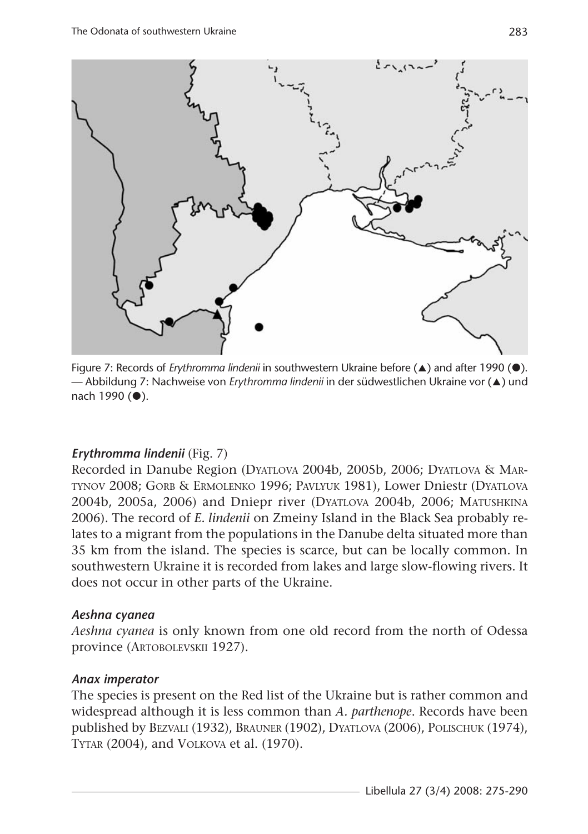

Figure 7: Records of *Erythromma lindenii* in southwestern Ukraine before (A) and after 1990 (<sup>\*</sup>). — Abbildung 7: Nachweise von *Erythromma lindenii* in der südwestlichen Ukraine vor (▲) und nach 1990 (<sup>0</sup>).

### *Erythromma lindenii* (Fig. 7)

Recorded in Danube Region (DYATLOVA 2004b, 2005b, 2006; DYATLOVA & MAR-TYNOV 2008; GORB & ERMOLENKO 1996; PAVLYUK 1981), Lower Dniestr (DYATLOVA 2004b, 2005a, 2006) and Dniepr river (DYATLOVA 2004b, 2006; MATUSHKINA 2006). The record of *E. lindenii* on Zmeiny Island in the Black Sea probably relates to a migrant from the populations in the Danube delta situated more than 35 km from the island. The species is scarce, but can be locally common. In southwestern Ukraine it is recorded from lakes and large slow-flowing rivers. It does not occur in other parts of the Ukraine.

### *Aeshna cyanea*

*Aeshna cyanea* is only known from one old record from the north of Odessa province (ARTOBOLEVSKII 1927).

### *Anax imperator*

The species is present on the Red list of the Ukraine but is rather common and widespread although it is less common than *A. parthenope*. Records have been published by BEZVALI (1932), BRAUNER (1902), DYATLOVA (2006), POLISCHUK (1974), TYTAR (2004), and VOLKOVA et al. (1970).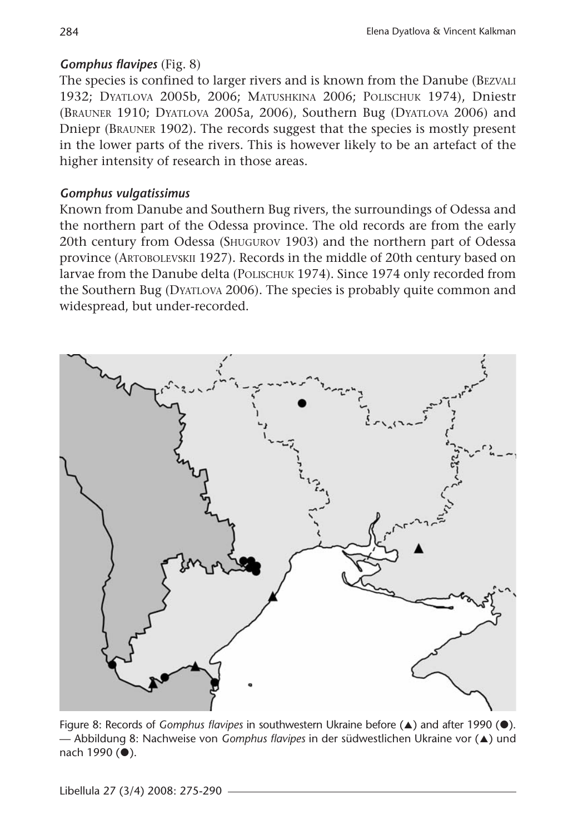# *Gomphus flavipes* (Fig. 8)

The species is confined to larger rivers and is known from the Danube (BEZVALI 1932; DYATLOVA 2005b, 2006; MATUSHKINA 2006; POLISCHUK 1974), Dniestr (BRAUNER 1910; DYATLOVA 2005a, 2006), Southern Bug (DYATLOVA 2006) and Dniepr (BRAUNER 1902). The records suggest that the species is mostly present in the lower parts of the rivers. This is however likely to be an artefact of the higher intensity of research in those areas.

### *Gomphus vulgatissimus*

Known from Danube and Southern Bug rivers, the surroundings of Odessa and the northern part of the Odessa province. The old records are from the early 20th century from Odessa (SHUGUROV 1903) and the northern part of Odessa province (ARTOBOLEVSKII 1927). Records in the middle of 20th century based on larvae from the Danube delta (POLISCHUK 1974). Since 1974 only recorded from the Southern Bug (DYATLOVA 2006). The species is probably quite common and widespread, but under-recorded.



Figure 8: Records of *Gomphus flavipes* in southwestern Ukraine before (A) and after 1990 (<sup>O</sup>). — Abbildung 8: Nachweise von *Gomphus flavipes* in der südwestlichen Ukraine vor (@) und  $nach 1990 (•).$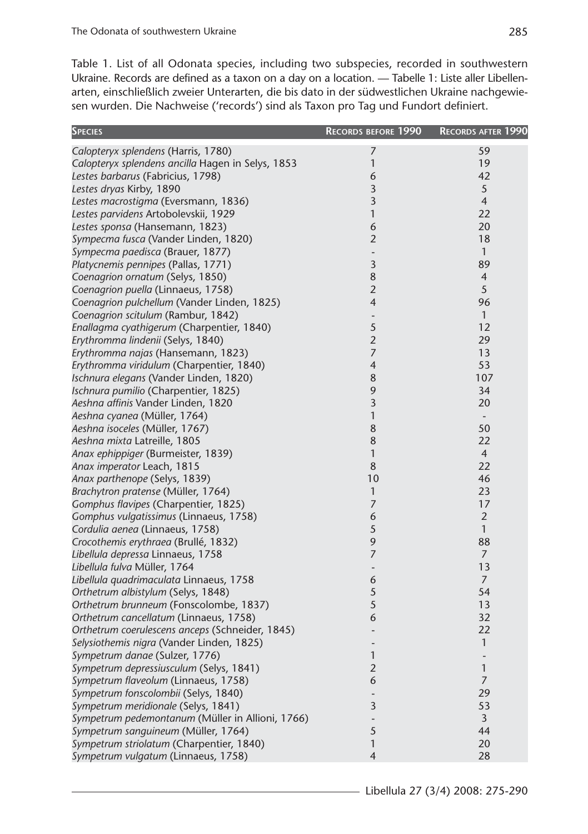Table 1. List of all Odonata species, including two subspecies, recorded in southwestern Ukraine. Records are defined as a taxon on a day on a location. — Tabelle 1: Liste aller Libellenarten, einschließlich zweier Unterarten, die bis dato in der südwestlichen Ukraine nachgewiesen wurden. Die Nachweise ('records') sind als Taxon pro Tag und Fundort definiert.

| <b>SPECIES</b>                                    | <b>RECORDS BEFORE</b> 1990   | RECORDS AFTER 1990       |  |
|---------------------------------------------------|------------------------------|--------------------------|--|
| Calopteryx splendens (Harris, 1780)               | 7                            | 59                       |  |
| Calopteryx splendens ancilla Hagen in Selys, 1853 | 1                            | 19                       |  |
| Lestes barbarus (Fabricius, 1798)                 | 6                            | 42                       |  |
| Lestes dryas Kirby, 1890                          | 3                            | 5                        |  |
| Lestes macrostigma (Eversmann, 1836)              | 3                            | $\overline{4}$           |  |
| Lestes parvidens Artobolevskii, 1929              | 1                            | 22                       |  |
| Lestes sponsa (Hansemann, 1823)                   | $\boldsymbol{6}$             | 20                       |  |
| Sympecma fusca (Vander Linden, 1820)              | $\overline{2}$               | 18                       |  |
| Sympecma paedisca (Brauer, 1877)                  | $\blacksquare$               | $\mathbf{1}$             |  |
| Platycnemis pennipes (Pallas, 1771)               | 3                            | 89                       |  |
| Coenagrion ornatum (Selys, 1850)                  | $\bf 8$                      | $\overline{4}$           |  |
| Coenagrion puella (Linnaeus, 1758)                | $\mathbf{2}$                 | 5                        |  |
| Coenagrion pulchellum (Vander Linden, 1825)       | $\overline{4}$               | 96                       |  |
| Coenagrion scitulum (Rambur, 1842)                | ÷,                           | $\mathbf{1}$             |  |
| Enallagma cyathigerum (Charpentier, 1840)         | 5                            | 12                       |  |
| Erythromma lindenii (Selys, 1840)                 | $\mathbf{2}$                 | 29                       |  |
| Erythromma najas (Hansemann, 1823)                | $\overline{7}$               | 13                       |  |
| Erythromma viridulum (Charpentier, 1840)          | $\overline{4}$               | 53                       |  |
| Ischnura elegans (Vander Linden, 1820)            | 8                            | 107                      |  |
| Ischnura pumilio (Charpentier, 1825)              | $\mathsf 9$                  | 34                       |  |
| Aeshna affinis Vander Linden, 1820                | 3                            | 20                       |  |
| Aeshna cyanea (Müller, 1764)                      | $\mathbf{1}$                 | $\overline{\phantom{a}}$ |  |
| Aeshna isoceles (Müller, 1767)                    | 8                            | 50                       |  |
| Aeshna mixta Latreille, 1805                      | 8                            | 22                       |  |
| Anax ephippiger (Burmeister, 1839)                | $\mathbf{1}$                 | $\overline{4}$           |  |
| Anax imperator Leach, 1815                        | 8                            | 22                       |  |
| Anax parthenope (Selys, 1839)                     | 10                           | 46                       |  |
| Brachytron pratense (Müller, 1764)                | $\mathbf{1}$                 | 23                       |  |
| Gomphus flavipes (Charpentier, 1825)              | $\overline{7}$               | 17                       |  |
| Gomphus vulgatissimus (Linnaeus, 1758)            | 6                            | $\overline{2}$           |  |
| Cordulia aenea (Linnaeus, 1758)                   | $\sqrt{5}$                   | $\mathbf{1}$             |  |
| Crocothemis erythraea (Brullé, 1832)              | 9                            | 88                       |  |
| Libellula depressa Linnaeus, 1758                 | $\overline{7}$               | $\overline{7}$           |  |
| Libellula fulva Müller, 1764                      | $\overline{\phantom{a}}$     | 13                       |  |
| Libellula quadrimaculata Linnaeus, 1758           | 6                            | 7                        |  |
| Orthetrum albistylum (Selys, 1848)                | 5                            | 54                       |  |
| Orthetrum brunneum (Fonscolombe, 1837)            | 5                            | 13                       |  |
| Orthetrum cancellatum (Linnaeus, 1758)            | 6                            | 32                       |  |
| Orthetrum coerulescens anceps (Schneider, 1845)   | $\overline{a}$               | 22                       |  |
| Selysiothemis nigra (Vander Linden, 1825)         | $\overline{\phantom{m}}$     | $\mathbf{1}$             |  |
| Sympetrum danae (Sulzer, 1776)                    | $\mathbf{1}$                 | $\overline{\phantom{m}}$ |  |
| Sympetrum depressiusculum (Selys, 1841)           | $\mathbf{2}$                 | $\mathbf{1}$             |  |
| Sympetrum flaveolum (Linnaeus, 1758)              | 6                            | $\overline{7}$           |  |
| Sympetrum fonscolombii (Selys, 1840)              | ÷,                           | 29                       |  |
| Sympetrum meridionale (Selys, 1841)               | 3                            | 53                       |  |
| Sympetrum pedemontanum (Müller in Allioni, 1766)  | $\qquad \qquad \blacksquare$ | 3                        |  |
| Sympetrum sanguineum (Müller, 1764)               | $\sqrt{5}$                   | 44                       |  |
| Sympetrum striolatum (Charpentier, 1840)          | 1                            | 20                       |  |
| Sympetrum vulgatum (Linnaeus, 1758)               | $\overline{4}$               | 28                       |  |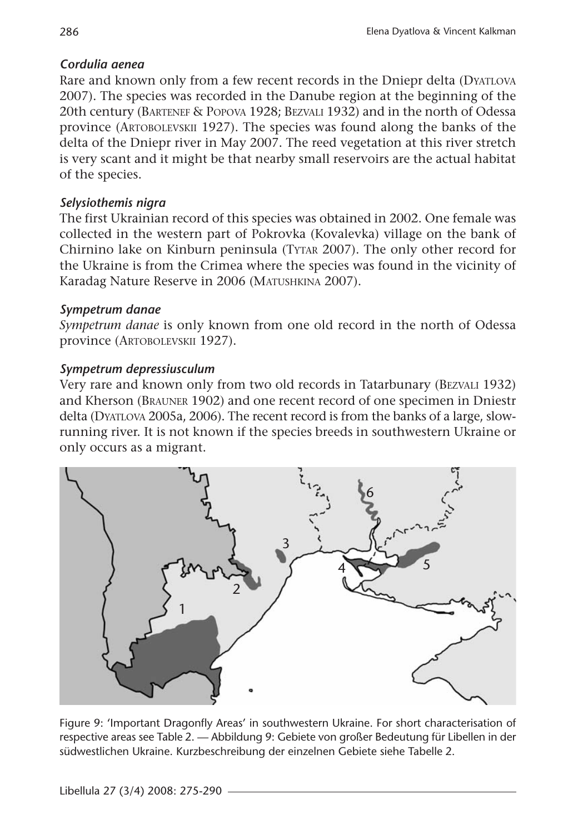### *Cordulia aenea*

Rare and known only from a few recent records in the Dniepr delta (DYATLOVA 2007). The species was recorded in the Danube region at the beginning of the 20th century (BARTENEF & POPOVA 1928; BEZVALI 1932) and in the north of Odessa province (ARTOBOLEVSKII 1927). The species was found along the banks of the delta of the Dniepr river in May 2007. The reed vegetation at this river stretch is very scant and it might be that nearby small reservoirs are the actual habitat of the species.

# *Selysiothemis nigra*

The first Ukrainian record of this species was obtained in 2002. One female was collected in the western part of Pokrovka (Kovalevka) village on the bank of Chirnino lake on Kinburn peninsula (TYTAR 2007). The only other record for the Ukraine is from the Crimea where the species was found in the vicinity of Karadag Nature Reserve in 2006 (MATUSHKINA 2007).

### *Sympetrum danae*

*Sympetrum danae* is only known from one old record in the north of Odessa province (ARTOBOLEVSKII 1927).

# *Sympetrum depressiusculum*

Very rare and known only from two old records in Tatarbunary (BEZVALI 1932) and Kherson (BRAUNER 1902) and one recent record of one specimen in Dniestr delta (DYATLOVA 2005a, 2006). The recent record is from the banks of a large, slowrunning river. It is not known if the species breeds in southwestern Ukraine or only occurs as a migrant.



Figure 9: 'Important Dragonfly Areas' in southwestern Ukraine. For short characterisation of respective areas see Table 2. — Abbildung 9: Gebiete von großer Bedeutung für Libellen in der südwestlichen Ukraine. Kurzbeschreibung der einzelnen Gebiete siehe Tabelle 2.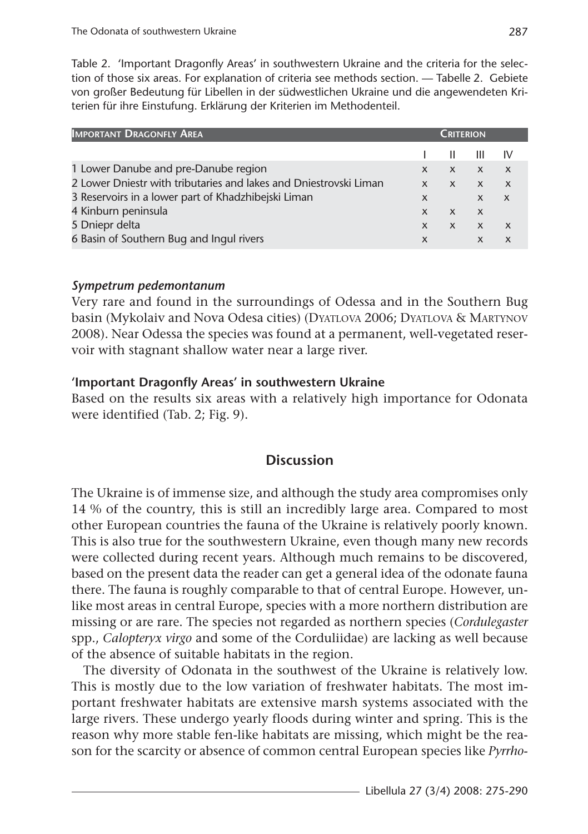Table 2. 'Important Dragonfly Areas' in southwestern Ukraine and the criteria for the selection of those six areas. For explanation of criteria see methods section. — Tabelle 2. Gebiete von großer Bedeutung für Libellen in der südwestlichen Ukraine und die angewendeten Kriterien für ihre Einstufung. Erklärung der Kriterien im Methodenteil.

| <b>IMPORTANT DRAGONFLY AREA</b>                                   | CRITERION                 |              |              |              |
|-------------------------------------------------------------------|---------------------------|--------------|--------------|--------------|
|                                                                   |                           |              | ш            | 1V           |
| 1 Lower Danube and pre-Danube region                              | X                         | $\mathsf{x}$ | $X$ $X$      |              |
| 2 Lower Dniestr with tributaries and lakes and Dniestrovski Liman | $\mathsf{x}$              | $\mathsf{X}$ | $\mathsf{x}$ |              |
| 3 Reservoirs in a lower part of Khadzhibejski Liman               | X                         |              | $\mathsf{X}$ | $\mathsf{x}$ |
| 4 Kinburn peninsula                                               | $\mathsf{x}$              | X            | $\mathsf{X}$ |              |
| 5 Dniepr delta                                                    | $\mathsf{x}$              | X            | $X$ $X$      |              |
| 6 Basin of Southern Bug and Ingul rivers                          | $\boldsymbol{\mathsf{x}}$ |              | $\times$     |              |

### *Sympetrum pedemontanum*

Very rare and found in the surroundings of Odessa and in the Southern Bug basin (Mykolaiv and Nova Odesa cities) (DYATLOVA 2006; DYATLOVA & MARTYNOV 2008). Near Odessa the species was found at a permanent, well-vegetated reservoir with stagnant shallow water near a large river.

### **'Important Dragonfly Areas' in southwestern Ukraine**

Based on the results six areas with a relatively high importance for Odonata were identified (Tab. 2; Fig. 9).

### **Discussion**

The Ukraine is of immense size, and although the study area compromises only 14 % of the country, this is still an incredibly large area. Compared to most other European countries the fauna of the Ukraine is relatively poorly known. This is also true for the southwestern Ukraine, even though many new records were collected during recent years. Although much remains to be discovered, based on the present data the reader can get a general idea of the odonate fauna there. The fauna is roughly comparable to that of central Europe. However, unlike most areas in central Europe, species with a more northern distribution are missing or are rare. The species not regarded as northern species (*Cordulegaster* spp., *Calopteryx virgo* and some of the Corduliidae) are lacking as well because of the absence of suitable habitats in the region.

The diversity of Odonata in the southwest of the Ukraine is relatively low. This is mostly due to the low variation of freshwater habitats. The most important freshwater habitats are extensive marsh systems associated with the large rivers. These undergo yearly floods during winter and spring. This is the reason why more stable fen-like habitats are missing, which might be the reason for the scarcity or absence of common central European species like *Pyrrho-*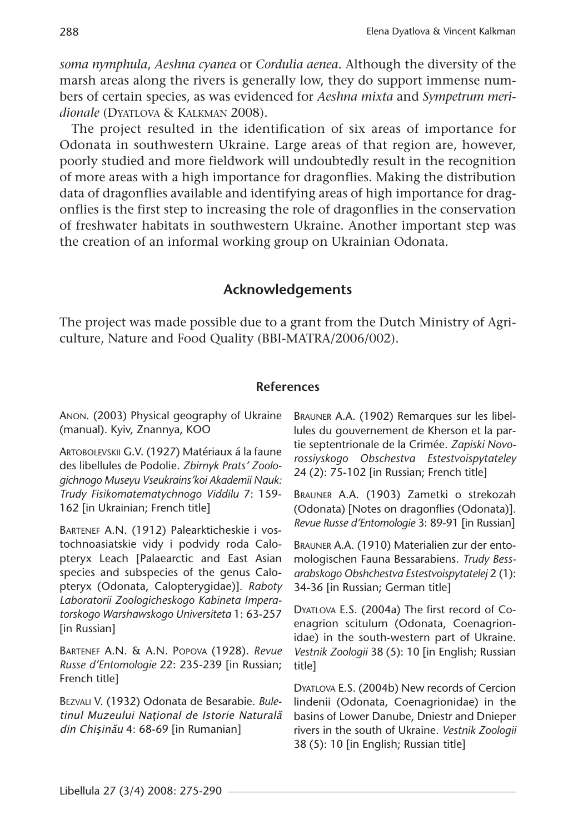*soma nymphula*, *Aeshna cyanea* or *Cordulia aenea*. Although the diversity of the marsh areas along the rivers is generally low, they do support immense numbers of certain species, as was evidenced for *Aeshna mixta* and *Sympetrum meridionale* (DYATLOVA & KALKMAN 2008).

The project resulted in the identification of six areas of importance for Odonata in southwestern Ukraine. Large areas of that region are, however, poorly studied and more fieldwork will undoubtedly result in the recognition of more areas with a high importance for dragonflies. Making the distribution data of dragonflies available and identifying areas of high importance for dragonflies is the first step to increasing the role of dragonflies in the conservation of freshwater habitats in southwestern Ukraine. Another important step was the creation of an informal working group on Ukrainian Odonata.

### **Acknowledgements**

The project was made possible due to a grant from the Dutch Ministry of Agriculture, Nature and Food Quality (BBI-MATRA/2006/002).

#### **References**

ANON. (2003) Physical geography of Ukraine (manual). Kyiv, Znannya, KOO

ARTOBOLEVSKII G.V. (1927) Matériaux á la faune des libellules de Podolie. *Zbirnyk Prats' Zoologichnogo Museyu Vseukrains'koi Akademii Nauk: Trudy Fisikomatematychnogo Viddilu* 7: 159- 162 [in Ukrainian; French title]

BARTENEF A.N. (1912) Palearkticheskie i vostochnoasiatskie vidy i podvidy roda Calopteryx Leach [Palaearctic and East Asian species and subspecies of the genus Calopteryx (Odonata, Calopterygidae)]. *Raboty Laboratorii Zoologicheskogo Kabineta Imperatorskogo Warshawskogo Universiteta* 1: 63-257 [in Russian]

BARTENEF A.N. & A.N. POPOVA (1928). *Revue Russe d'Entomologie* 22: 235-239 [in Russian; French title]

BEZVALI V. (1932) Odonata de Besarabie. *Bule*tinul Muzeului Naţional de Istorie Naturală din Chişinău 4: 68-69 [in Rumanian]

BRAUNER A.A. (1902) Remarques sur les libellules du gouvernement de Kherson et la partie septentrionale de la Crimée. *Zapiski Novorossiyskogo Obschestva Estestvoispytateley* 24 (2): 75-102 [in Russian; French title]

BRAUNER A.A. (1903) Zametki o strekozah (Odonata) [Notes on dragonflies (Odonata)]. *Revue Russe d'Entomologie* 3: 89-91 [in Russian]

BRAUNER A.A. (1910) Materialien zur der entomologischen Fauna Bessarabiens. *Trudy Bessarabskogo Obshchestva Estestvoispytatelej* 2 (1): 34-36 [in Russian; German title]

DYATLOVA E.S. (2004a) The first record of Coenagrion scitulum (Odonata, Coenagrionidae) in the south-western part of Ukraine. *Vestnik Zoologii* 38 (5): 10 [in English; Russian title]

DYATLOVA E.S. (2004b) New records of Cercion lindenii (Odonata, Coenagrionidae) in the basins of Lower Danube, Dniestr and Dnieper rivers in the south of Ukraine. *Vestnik Zoologii* 38 (5): 10 [in English; Russian title]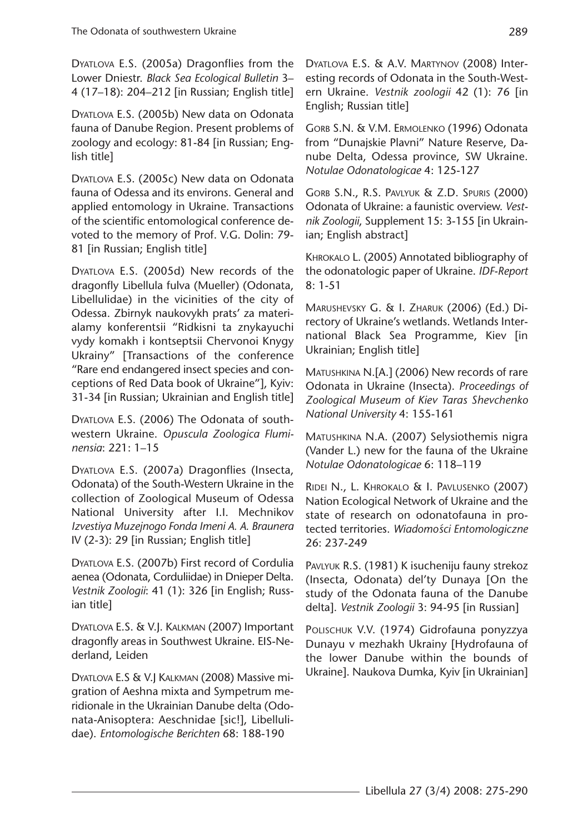DYATLOVA E.S. (2005a) Dragonflies from the Lower Dniestr. *Black Sea Ecological Bulletin* 3– 4 (17–18): 204–212 [in Russian; English title]

DYATLOVA E.S. (2005b) New data on Odonata fauna of Danube Region. Present problems of zoology and ecology: 81-84 [in Russian; English title]

DYATLOVA E.S. (2005c) New data on Odonata fauna of Odessa and its environs. General and applied entomology in Ukraine. Transactions of the scientific entomological conference devoted to the memory of Prof. V.G. Dolin: 79- 81 [in Russian; English title]

DYATLOVA E.S. (2005d) New records of the dragonfly Libellula fulva (Mueller) (Odonata, Libellulidae) in the vicinities of the city of Odessa. Zbirnyk naukovykh prats' za materialamy konferentsii "Ridkisni ta znykayuchi vydy komakh i kontseptsii Chervonoi Knygy Ukrainy" [Transactions of the conference "Rare end endangered insect species and conceptions of Red Data book of Ukraine"], Kyiv: 31-34 [in Russian; Ukrainian and English title]

DYATLOVA E.S. (2006) The Odonata of southwestern Ukraine. *Opuscula Zoologica Fluminensia*: 221: 1–15

DYATLOVA E.S. (2007a) Dragonflies (Insecta, Odonata) of the South-Western Ukraine in the collection of Zoological Museum of Odessa National University after I.I. Mechnikov *Izvestiya Muzejnogo Fonda Imeni A. A. Braunera* IV (2-3): 29 [in Russian; English title]

DYATLOVA E.S. (2007b) First record of Cordulia aenea (Odonata, Corduliidae) in Dnieper Delta. *Vestnik Zoologii*: 41 (1): 326 [in English; Russian title]

DYATLOVA E.S. & V.J. KALKMAN (2007) Important dragonfly areas in Southwest Ukraine. EIS-Nederland, Leiden

DYATLOVA E.S & V.J KALKMAN (2008) Massive migration of Aeshna mixta and Sympetrum meridionale in the Ukrainian Danube delta (Odonata-Anisoptera: Aeschnidae [sic!], Libellulidae). *Entomologische Berichten* 68: 188-190

DYATLOVA E.S. & A.V. MARTYNOV (2008) Interesting records of Odonata in the South-Western Ukraine. *Vestnik zoologii* 42 (1): 76 [in English; Russian title]

GORB S.N. & V.M. ERMOLENKO (1996) Odonata from "Dunajskie Plavni" Nature Reserve, Danube Delta, Odessa province, SW Ukraine. *Notulae Odonatologicae* 4: 125-127

GORB S.N., R.S. PAVLYUK & Z.D. SPURIS (2000) Odonata of Ukraine: a faunistic overview. *Vestnik Zoologii*, Supplement 15: 3-155 [in Ukrainian; English abstract]

KHROKALO L. (2005) Annotated bibliography of the odonatologic paper of Ukraine. *IDF-Report* 8: 1-51

MARUSHEVSKY G. & I. ZHARUK (2006) (Ed.) Directory of Ukraine's wetlands. Wetlands International Black Sea Programme, Kiev [in Ukrainian; English title]

MATUSHKINA N.[A.] (2006) New records of rare Odonata in Ukraine (Insecta). *Proceedings of Zoological Museum of Kiev Taras Shevchenko National University* 4: 155-161

MATUSHKINA N.A. (2007) Selysiothemis nigra (Vander L.) new for the fauna of the Ukraine *Notulae Odonatologicae* 6: 118–119

RIDEI N., L. KHROKALO & I. PAVLUSENKO (2007) Nation Ecological Network of Ukraine and the state of research on odonatofauna in protected territories. *Wiadomo´sci Entomologiczne* 26: 237-249

PAVLYUK R.S. (1981) K isucheniju fauny strekoz (Insecta, Odonata) del'ty Dunaya [On the study of the Odonata fauna of the Danube delta]. *Vestnik Zoologii* 3: 94-95 [in Russian]

POLISCHUK V.V. (1974) Gidrofauna ponyzzya Dunayu v mezhakh Ukrainy [Hydrofauna of the lower Danube within the bounds of Ukraine]. Naukova Dumka, Kyiv [in Ukrainian]